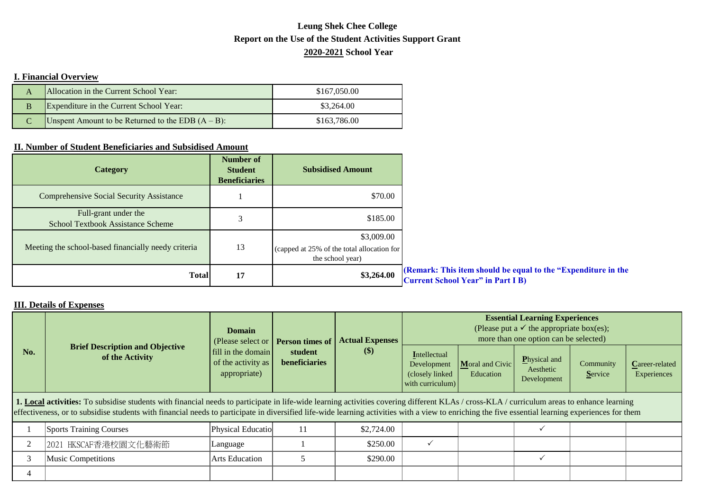## **Report on the Use of the Student Activities Support Grant Leung Shek Chee College 2020-2021 School Year**

## **I. Financial Overview**

|   | Allocation in the Current School Year:               | \$167,050.00 |
|---|------------------------------------------------------|--------------|
| B | Expenditure in the Current School Year:              | \$3,264.00   |
|   | Unspent Amount to be Returned to the EDB $(A - B)$ : | \$163,786.00 |

## **II. Number of Student Beneficiaries and Subsidised Amount**

| <b>Category</b>                                                  | <b>Number of</b><br><b>Student</b><br><b>Beneficiaries</b> | <b>Subsidised Amount</b>                                                     |                                                                                                           |
|------------------------------------------------------------------|------------------------------------------------------------|------------------------------------------------------------------------------|-----------------------------------------------------------------------------------------------------------|
| <b>Comprehensive Social Security Assistance</b>                  |                                                            | \$70.00                                                                      |                                                                                                           |
| Full-grant under the<br><b>School Textbook Assistance Scheme</b> |                                                            | \$185.00                                                                     |                                                                                                           |
| Meeting the school-based financially needy criteria              | 13                                                         | \$3,009.00<br>(capped at 25% of the total allocation for<br>the school year) |                                                                                                           |
| <b>Total</b>                                                     | 17                                                         | \$3,264.00                                                                   | (Remark: This item should be equal to the "Expenditure in the<br><b>Current School Year" in Part I B)</b> |

## **III. Details of Expenses**

| No.                                                                                                                                                                                                                                                                                                                                                                                              | <b>Brief Description and Objective</b><br>of the Activity | <b>Domain</b><br>(Please select or<br>fill in the domain<br>of the activity as<br>appropriate) | <b>Person times of</b><br>student<br>beneficiaries | <b>Actual Expenses</b><br><b>(\$)</b> | <b>Essential Learning Experiences</b><br>(Please put a $\checkmark$ the appropriate box(es);<br>more than one option can be selected) |                              |                                          |                      |                               |
|--------------------------------------------------------------------------------------------------------------------------------------------------------------------------------------------------------------------------------------------------------------------------------------------------------------------------------------------------------------------------------------------------|-----------------------------------------------------------|------------------------------------------------------------------------------------------------|----------------------------------------------------|---------------------------------------|---------------------------------------------------------------------------------------------------------------------------------------|------------------------------|------------------------------------------|----------------------|-------------------------------|
|                                                                                                                                                                                                                                                                                                                                                                                                  |                                                           |                                                                                                |                                                    |                                       | Intellectual<br>Development<br>(closely linked)<br>with curriculum)                                                                   | Moral and Civic<br>Education | Physical and<br>Aesthetic<br>Development | Community<br>Service | Career-related<br>Experiences |
| 1. Local activities: To subsidise students with financial needs to participate in life-wide learning activities covering different KLAs / cross-KLA / curriculum areas to enhance learning<br>effectiveness, or to subsidise students with financial needs to participate in diversified life-wide learning activities with a view to enriching the five essential learning experiences for them |                                                           |                                                                                                |                                                    |                                       |                                                                                                                                       |                              |                                          |                      |                               |
|                                                                                                                                                                                                                                                                                                                                                                                                  | <b>Sports Training Courses</b>                            | Physical Educatio                                                                              | 11                                                 | \$2,724.00                            |                                                                                                                                       |                              |                                          |                      |                               |
|                                                                                                                                                                                                                                                                                                                                                                                                  | 2021 HKSCAF香港校園文化藝術節                                      | Language                                                                                       |                                                    | \$250.00                              | $\checkmark$                                                                                                                          |                              |                                          |                      |                               |
|                                                                                                                                                                                                                                                                                                                                                                                                  | <b>Music Competitions</b>                                 | <b>Arts Education</b>                                                                          |                                                    | \$290.00                              |                                                                                                                                       |                              |                                          |                      |                               |
|                                                                                                                                                                                                                                                                                                                                                                                                  |                                                           |                                                                                                |                                                    |                                       |                                                                                                                                       |                              |                                          |                      |                               |